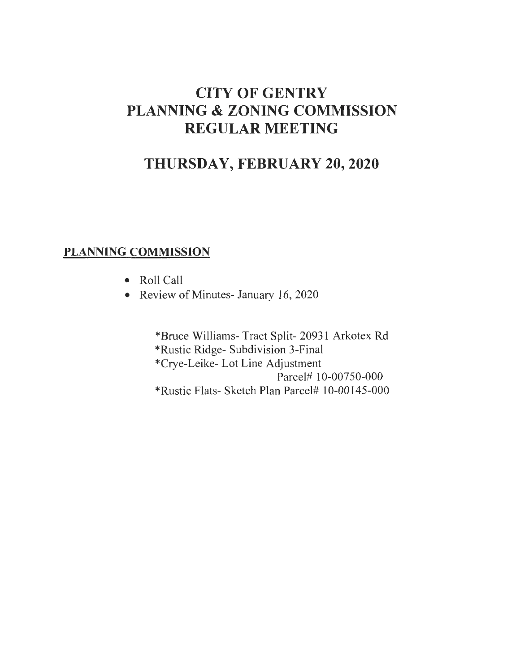# **CITY OF GENTRY PLANNING & ZONING COMMISSION REGULAR MEETING**

# **THURSDAY, FEBRUARY 20,2020**

# **PLANNING COMMISSION**

- Roll Call
- Review of Minutes- January 16, 2020

\*Bruce Williams- Tract Split- 20931 Arkotex Rd \*Rustic Ridge- Subdivision 3-Final \*Crye-Leike- Lot Line Adjustment Parcel# 10-00750-000 \*Rustic Flats- Sketch Plan Parcel# 10-00145-000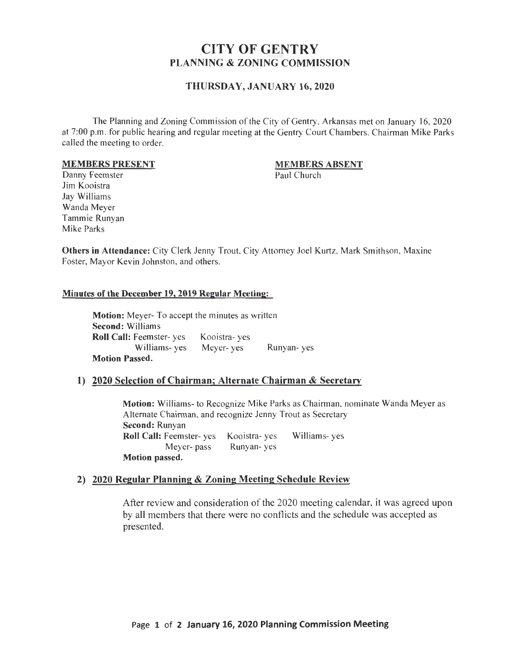# CITY OF GENTRY PLANNING & ZONING COMMISSION

#### THURSDAY, JANUARY 16, 2020

The Planning and Zoning Commission of the City of Gentry, Arkansas met on January 16,2020 at 7:00 p.m. for public hearing and regular meeting at the Gentry Court Chambers. Chairman Mike Parks called the meeting to order.

#### MEMBERS PRESENT

# MEMBERS ABSENT

Paul Church

Danny Feemster Jim Kooistra Jay Williams Wanda Meyer Tammie Runyan Mike Parks

Others in Attendance: City Clerk Jenny Trout, City Attorney Joel Kurtz, Mark Smithson, Maxine Foster, Mayor Kevin Johnston, and others.

#### Minutes of the December 19,2019 Regular Meeting:

Motion: Meyer- To accept the minutes as written Second: Williams Roll Call: Feemster- yes Williams- yes Meyer- yes Motion Passed. Kooistra- yes Runyan- yes

#### 1) 2020 Selection of Chairman; Alternate Chairman & Secretary

Motion: Williams- to Recognize Mike Parks as Chairman, nominate Wanda Meyer as Alternate Chairman, and recognize Jenny Trout as Secretary Second: Runyan Roll Call: Feemster- yes Kooistra- yes Williams- yes Meyer- pass Runyan- yes Motion passed.

#### 2) 2020 Regular Planning & Zoning Meeting Schedule Review

After review and consideration of the 2020 meeting calendar, it was agreed upon by all members that there were no conflicts and the schedule was accepted as presented.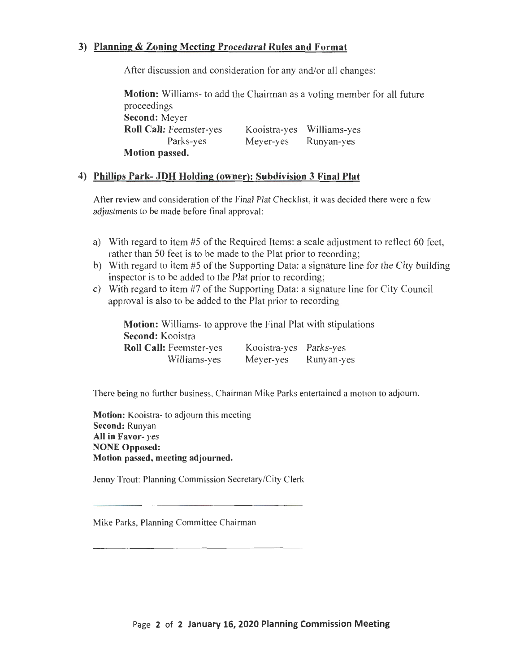### **3) Planning & Zoning Meeting Procedural Rules and Format**

After discussion and consideration for any and/or all changes:

**Motion:** Williams- to add the Chairman as a voting member for all future proceedings **Second:** Meyer **Roll Call:** Feemster-yes Parks-yes **Motion passed.**  Kooistra-yes Williams-yes Meyer-yes Runyan-yes

#### **4) Phillips Park- JDH Holding (owner): Subdivision 3 Final Plat**

After review and consideration of the Final Plat Checklist, it was decided there were a few adjustments to be made before final approval:

- a) With regard to item #5 of the Required Items: a scale adjustment to reflect 60 feet, rather than 50 feet is to be made to the Plat prior to recording;
- b) With regard to item #5 of the Supporting Data: a signature line for the City building inspector is to be added to the Plat prior to recording;
- c) With regard to item #7 of the Supporting Data: a signature line for City Council approval is also to be added to the Plat prior to recording

**Motion:** Williams- to approve the Final Plat with stipulations **Second:** Kooistra **Roll Call:** Feemster-yes Williams-yes Kooistra-yes Parks-yes Meyer-yes Runyan-yes

There being no further business, Chairman Mike Parks entertained a motion to adjourn.

**Motion:** Kooistra- to adjourn this meeting **Second:** Runyan **All in Favor-** yes **NONE Opposed: Motion passed, meeting adjourned.** 

Jenny Trout: Planning Commission Secretary/City Clerk

Mike Parks, Planning Committee Chairman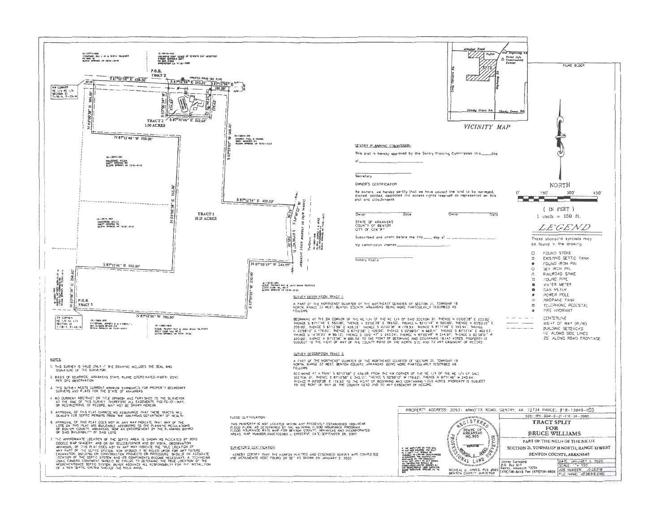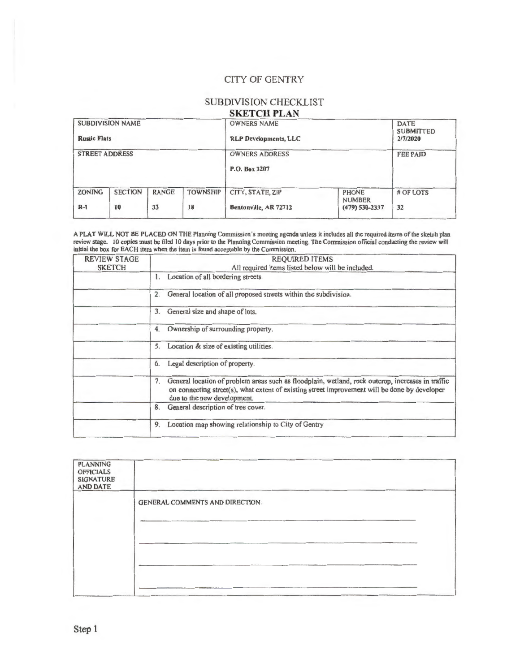#### CITY OF GENTRY

# SUBDIVISION CHECKLIST

## **SKETCH PLAN**

| <b>SUBDIVISION NAME</b><br><b>Rustic Flats</b><br><b>STREET ADDRESS</b> |  |  |  | <b>OWNERS NAME</b><br><b>RLP Developments, LLC</b><br><b>OWNERS ADDRESS</b><br>P.O. Box 3207 |  | <b>DATE</b><br><b>SUBMITTED</b><br>2/7/2020<br><b>FEE PAID</b> |
|-------------------------------------------------------------------------|--|--|--|----------------------------------------------------------------------------------------------|--|----------------------------------------------------------------|
|                                                                         |  |  |  |                                                                                              |  |                                                                |

A PLAT WILL NOT BE PLACED ON THE Planning Commission's meeting agenda unless it includes all the required items of the sketch plan review stage. 10 copies must be filed 10 days prior to the Planning Commission meeting. The Commission official conducting the review will initial the box for EACH item when the item is found acceptable by the Commission.

| <b>REVIEW STAGE</b><br><b>SKETCH</b> | <b>REQUIRED ITEMS</b><br>All required items listed below will be included.                                                                                                                                                              |  |  |  |  |
|--------------------------------------|-----------------------------------------------------------------------------------------------------------------------------------------------------------------------------------------------------------------------------------------|--|--|--|--|
|                                      | Location of all bordering streets.<br>1.                                                                                                                                                                                                |  |  |  |  |
|                                      | General location of all proposed streets within the subdivision.<br>2.                                                                                                                                                                  |  |  |  |  |
|                                      | General size and shape of lots.<br>3.                                                                                                                                                                                                   |  |  |  |  |
|                                      | Ownership of surrounding property.<br>4.                                                                                                                                                                                                |  |  |  |  |
|                                      | Location & size of existing utilities.<br>5.                                                                                                                                                                                            |  |  |  |  |
|                                      | Legal description of property.<br>6.                                                                                                                                                                                                    |  |  |  |  |
|                                      | General location of problem areas such as floodplain, wetland, rock outcrop, increases in traffic<br>7.<br>on connecting street(s), what extent of existing street improvement will be done by developer<br>due to the new development. |  |  |  |  |
|                                      | General description of tree cover.<br>8.                                                                                                                                                                                                |  |  |  |  |
|                                      | Location map showing relationship to City of Gentry<br>9.                                                                                                                                                                               |  |  |  |  |
|                                      |                                                                                                                                                                                                                                         |  |  |  |  |

| <b>PLANNING</b><br><b>OFFICIALS</b><br><b>SIGNATURE</b><br><b>AND DATE</b> |                                        |  |
|----------------------------------------------------------------------------|----------------------------------------|--|
|                                                                            | <b>GENERAL COMMENTS AND DIRECTION:</b> |  |
|                                                                            |                                        |  |
|                                                                            |                                        |  |